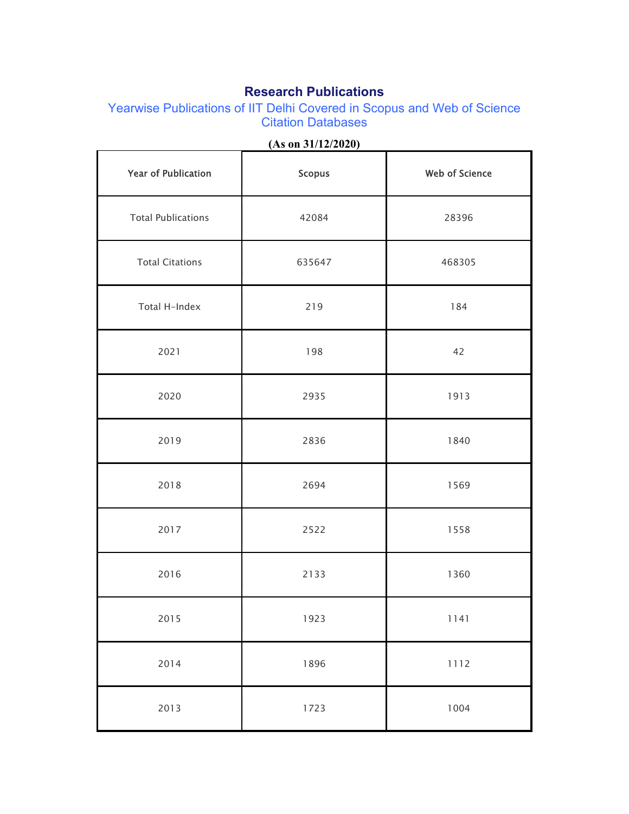## **Research Publications**

Yearwise Publications of IIT Delhi Covered in Scopus and Web of Science Citation Databases

| <b>Year of Publication</b> | <b>Scopus</b> | <b>Web of Science</b> |
|----------------------------|---------------|-----------------------|
| <b>Total Publications</b>  | 42084         | 28396                 |
| <b>Total Citations</b>     | 635647        | 468305                |
| Total H-Index              | 219           | 184                   |
| 2021                       | 198           | 42                    |
| 2020                       | 2935          | 1913                  |
| 2019                       | 2836          | 1840                  |
| 2018                       | 2694          | 1569                  |
| 2017                       | 2522          | 1558                  |
| 2016                       | 2133          | 1360                  |
| 2015                       | 1923          | 1141                  |
| 2014                       | 1896          | 1112                  |
| 2013                       | 1723          | 1004                  |

**(As on 31/12/2020)**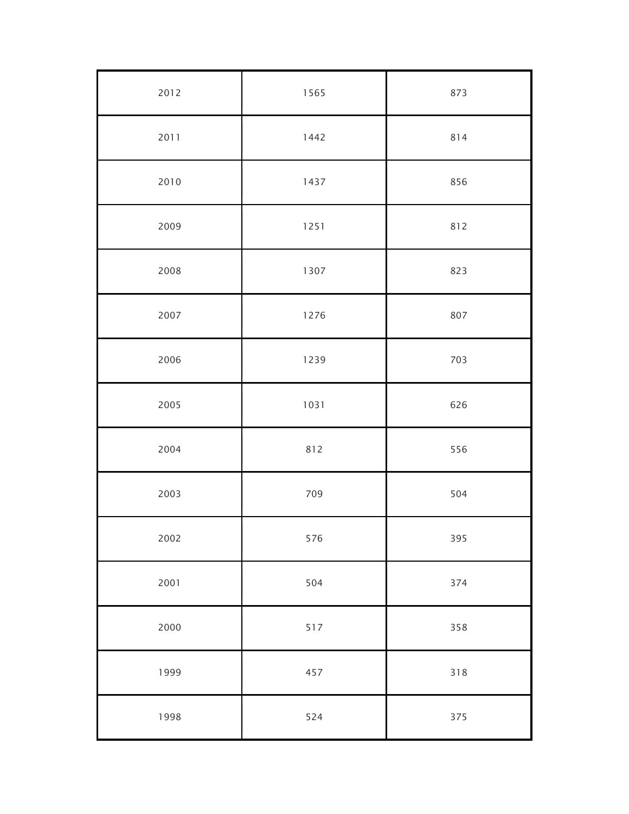| 2012 | 1565 | 873 |
|------|------|-----|
| 2011 | 1442 | 814 |
| 2010 | 1437 | 856 |
| 2009 | 1251 | 812 |
| 2008 | 1307 | 823 |
| 2007 | 1276 | 807 |
| 2006 | 1239 | 703 |
| 2005 | 1031 | 626 |
| 2004 | 812  | 556 |
| 2003 | 709  | 504 |
| 2002 | 576  | 395 |
| 2001 | 504  | 374 |
| 2000 | 517  | 358 |
| 1999 | 457  | 318 |
| 1998 | 524  | 375 |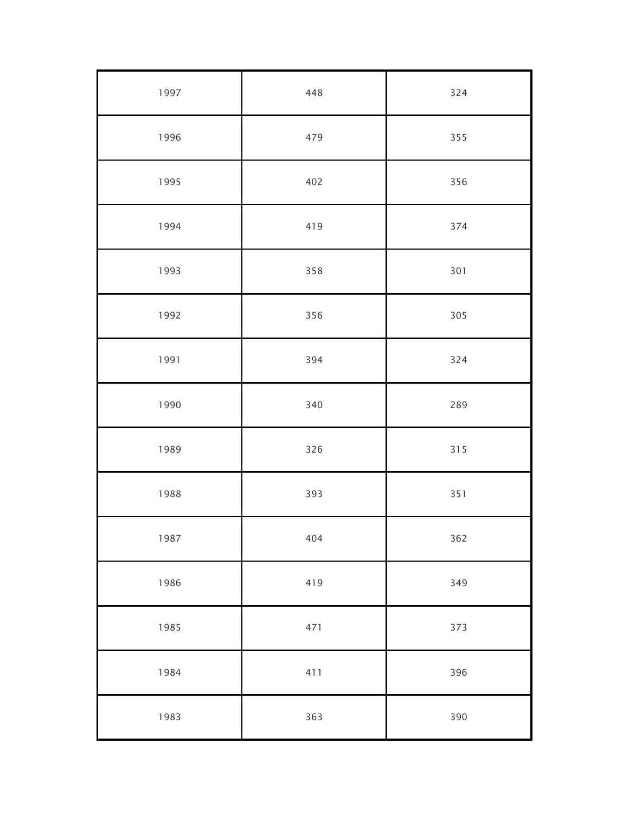| 1997 | 448 | 324 |
|------|-----|-----|
| 1996 | 479 | 355 |
| 1995 | 402 | 356 |
| 1994 | 419 | 374 |
| 1993 | 358 | 301 |
| 1992 | 356 | 305 |
| 1991 | 394 | 324 |
| 1990 | 340 | 289 |
| 1989 | 326 | 315 |
| 1988 | 393 | 351 |
| 1987 | 404 | 362 |
| 1986 | 419 | 349 |
| 1985 | 471 | 373 |
| 1984 | 411 | 396 |
| 1983 | 363 | 390 |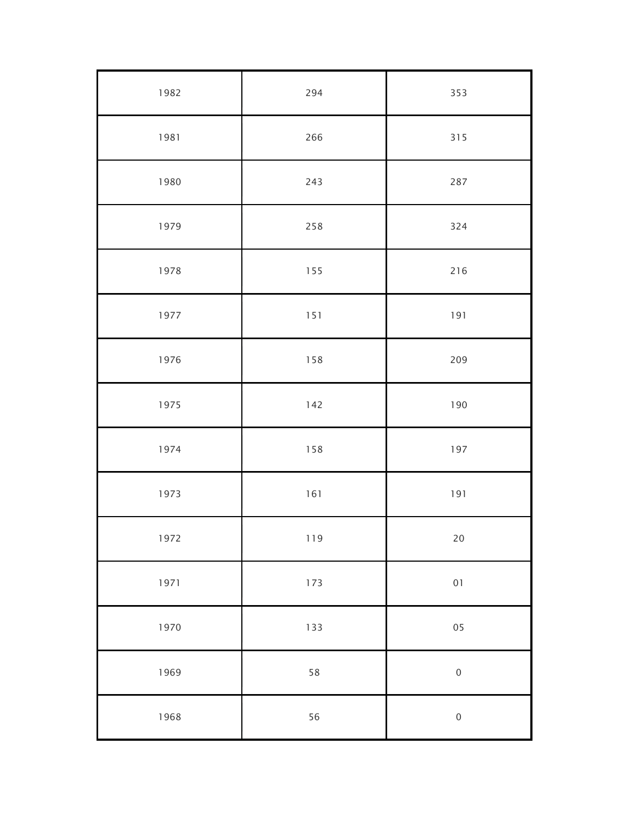| 1982 | 294 | 353          |
|------|-----|--------------|
| 1981 | 266 | 315          |
| 1980 | 243 | 287          |
| 1979 | 258 | 324          |
| 1978 | 155 | 216          |
| 1977 | 151 | 191          |
| 1976 | 158 | 209          |
| 1975 | 142 | 190          |
| 1974 | 158 | 197          |
| 1973 | 161 | 191          |
| 1972 | 119 | $20\,$       |
| 1971 | 173 | $01$         |
| 1970 | 133 | 05           |
| 1969 | 58  | $\mathbf{0}$ |
| 1968 | 56  | $\pmb{0}$    |